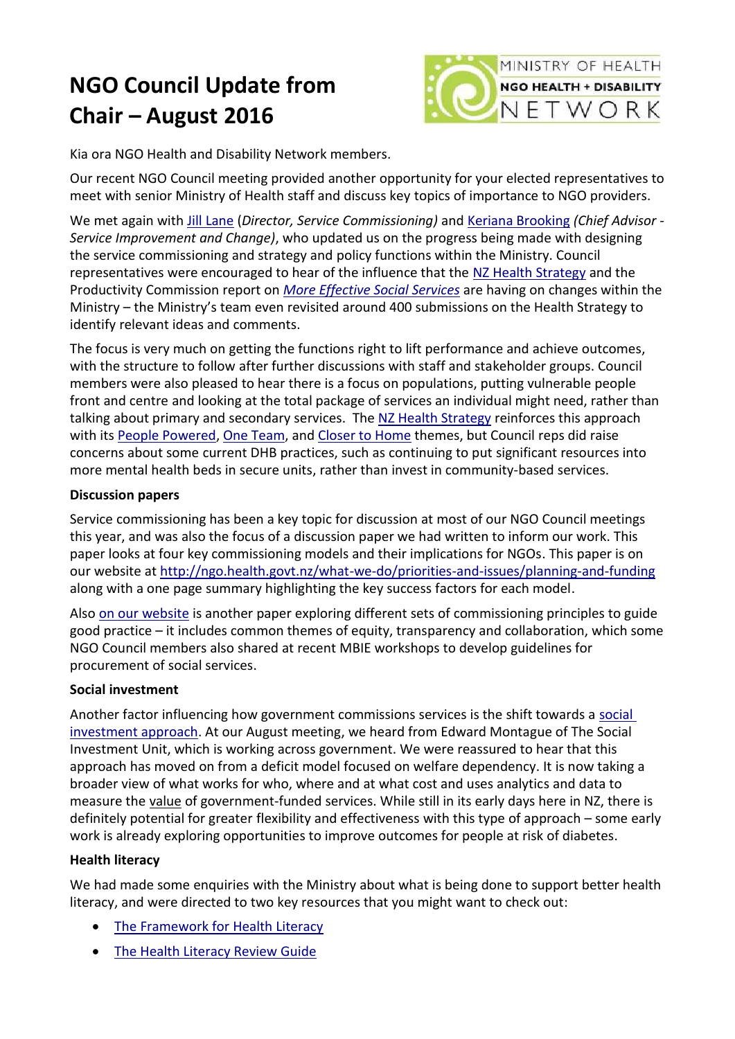# **NGO Council Update from Chair – August 2016**



Kia ora NGO Health and Disability Network members.

Our recent NGO Council meeting provided another opportunity for your elected representatives to meet with senior Ministry of Health staff and discuss key topics of importance to NGO providers.

We met again with [Jill Lane](http://www.health.govt.nz/about-ministry/leadership-ministry/executive-leadership-team#jlane) (*Director, Service Commissioning)* and [Keriana Brooking](http://www.health.govt.nz/about-ministry/leadership-ministry/chief-advisors) *(Chief Advisor - Service Improvement and Change)*, who updated us on the progress being made with designing the service commissioning and strategy and policy functions within the Ministry. Council representatives were encouraged to hear of the influence that the [NZ Health Strategy](http://www.health.govt.nz/new-zealand-health-system/new-zealand-health-strategy-roadmap-actions-2016/section-action-areas/closer-home) and the Productivity Commission report on *[More Effective Social Services](http://www.productivity.govt.nz/inquiry-content/2032?stage=4)* are having on changes within the Ministry – the Ministry's team even revisited around 400 submissions on the Health Strategy to identify relevant ideas and comments.

The focus is very much on getting the functions right to lift performance and achieve outcomes, with the structure to follow after further discussions with staff and stakeholder groups. Council members were also pleased to hear there is a focus on populations, putting vulnerable people front and centre and looking at the total package of services an individual might need, rather than talking about primary and secondary services. The [NZ Health Strategy](http://www.health.govt.nz/new-zealand-health-system/new-zealand-health-strategy-roadmap-actions-2016/section-action-areas/closer-home) reinforces this approach with its [People Powered,](http://www.health.govt.nz/new-zealand-health-system/new-zealand-health-strategy-roadmap-actions-2016/section-action-areas/people-powered) [One Team,](http://www.health.govt.nz/new-zealand-health-system/new-zealand-health-strategy-roadmap-actions-2016/section-action-areas/one-team) and [Closer to Home](http://www.health.govt.nz/new-zealand-health-system/new-zealand-health-strategy-roadmap-actions-2016/section-action-areas/closer-home) themes, but Council reps did raise concerns about some current DHB practices, such as continuing to put significant resources into more mental health beds in secure units, rather than invest in community-based services.

## **Discussion papers**

Service commissioning has been a key topic for discussion at most of our NGO Council meetings this year, and was also the focus of a discussion paper we had written to inform our work. This paper looks at four key commissioning models and their implications for NGOs. This paper is on our website at<http://ngo.health.govt.nz/what-we-do/priorities-and-issues/planning-and-funding> along with a one page summary highlighting the key success factors for each model.

Also [on our website](http://ngo.health.govt.nz/what-we-do/priorities-and-issues/planning-and-funding) is another paper exploring different sets of commissioning principles to guide good practice – it includes common themes of equity, transparency and collaboration, which some NGO Council members also shared at recent MBIE workshops to develop guidelines for procurement of social services.

## **Social investment**

Another factor influencing how government commissions services is the shift towards a [social](http://www.treasury.govt.nz/statesector/socialinvestment)  [investment approach.](http://www.treasury.govt.nz/statesector/socialinvestment) At our August meeting, we heard from Edward Montague of The Social Investment Unit, which is working across government. We were reassured to hear that this approach has moved on from a deficit model focused on welfare dependency. It is now taking a broader view of what works for who, where and at what cost and uses analytics and data to measure the value of government-funded services. While still in its early days here in NZ, there is definitely potential for greater flexibility and effectiveness with this type of approach – some early work is already exploring opportunities to improve outcomes for people at risk of diabetes.

## **Health literacy**

We had made some enquiries with the Ministry about what is being done to support better health literacy, and were directed to two key resources that you might want to check out:

- [The Framework for Health Literacy](http://www.health.govt.nz/publication/framework-health-literacy)
- [The Health Literacy Review Guide](http://www.health.govt.nz/publication/health-literacy-review-guide)